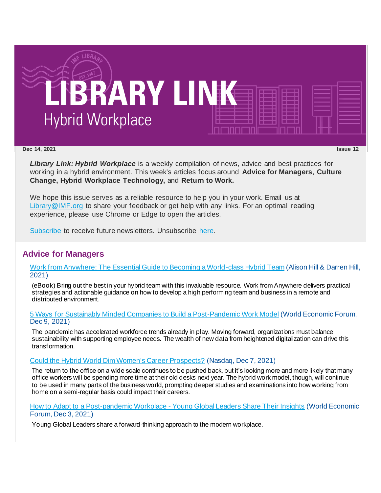

**Dec 14, 2021 Issue 12**

*Library Link: Hybrid Workplace* is a weekly compilation of news, advice and best practices for working in a hybrid environment. This week's articles focus around **Advice for Managers**, **Culture Change, Hybrid Workplace Technology,** and **Return to Work.**

We hope this issue serves as a reliable resource to help you in your work. Email us at [Library@IMF.org](mailto:Library@IMF.org) to share your feedback or get help with any links. For an optimal reading experience, please use Chrome or Edge to open the articles.

[Subscribe](http://t.imfconnect.imf.org/r/?id=h62770b,3025000,3030820&p1=%402KtchV5yqwNdY3_Jf_1S9JA5zsdBVIn1F4Q5seFrxwX_F4oETu-WdBewaWoMDnrPbUqcsRuAlPfF14FScuj0kv8ab1U) to receive future newsletters. Unsubscribe [here.](http://t.imfconnect.imf.org/r/?id=h62770b,3025000,3030821&p1=%402KtchV5yqwNdY3_Jf_1S9JA5zsdBVIn1F4Q5seFrxwX_F4oETu-WdBewaWoMDnrPbUqcsRuAlPfF14FScuj0kv8ab1U)

### **Advice for Managers**

[Work from Anywhere: The Essential Guide to Becoming a World-class Hybrid Team](http://t.imfconnect.imf.org/r/?id=h62770b,3025000,3030822) (Alison Hill & Darren Hill, 2021)

(eBook) Bring out the best in your hybrid team with this invaluable resource. Work from Anywhere delivers practical strategies and actionable guidance on how to develop a high performing team and business in a remote and distributed environment.

[5 Ways for Sustainably Minded Companies to Build a Post-Pandemic Work Model](http://t.imfconnect.imf.org/r/?id=h62770b,3025000,3030823) (World Economic Forum, Dec 9, 2021)

The pandemic has accelerated workforce trends already in play. Moving forward, organizations must balance sustainability with supporting employee needs. The wealth of new data from heightened digitalization can drive this transformation.

### [Could the Hybrid World Dim Women's Career Prospects?](http://t.imfconnect.imf.org/r/?id=h62770b,3025000,3030824) (Nasdaq, Dec 7, 2021)

The return to the office on a wide scale continues to be pushed back, but it's looking more and more likely that many office workers will be spending more time at their old desks next year. The hybrid work model, though, will continue to be used in many parts of the business world, prompting deeper studies and examinations into how working from home on a semi-regular basis could impact their careers.

[How to Adapt to a Post-pandemic Workplace -](http://t.imfconnect.imf.org/r/?id=h62770b,3025000,3030825) Young Global Leaders Share Their Insights (World Economic Forum, Dec 3, 2021)

Young Global Leaders share a forward-thinking approach to the modern workplace.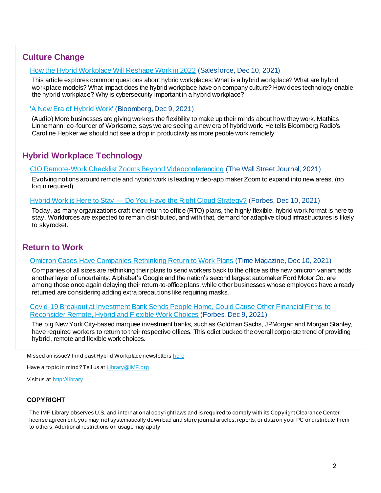# **Culture Change**

### [How the Hybrid Workplace Will Reshape Work in 2022](http://t.imfconnect.imf.org/r/?id=h62770b,3025000,3030826) (Salesforce, Dec 10, 2021)

This article explores common questions about hybrid workplaces: What is a hybrid workplace? What are hybrid workplace models? What impact does the hybrid workplace have on company culture? How does technology enable the hybrid workplace? Why is cybersecurity important in a hybrid workplace?

### ['A New Era of Hybrid Work'](http://t.imfconnect.imf.org/r/?id=h62770b,3025000,3030827) (Bloomberg, Dec 9, 2021)

(Audio) More businesses are giving workers the flexibility to make up their minds about how they work. Mathias Linnemann, co-founder of Worksome, says we are seeing a new era of hybrid work. He tells Bloomberg Radio's Caroline Hepker we should not see a drop in productivity as more people work remotely.

# **Hybrid Workplace Technology**

[CIO Remote-Work Checklist Zooms Beyond Videoconferencing](http://t.imfconnect.imf.org/r/?id=h62770b,3025000,3030828) (The Wall Street Journal, 2021)

Evolving notions around remote and hybrid work is leading video-app maker Zoom to expand into new areas. (no login required)

#### Hybrid Work is Here to Stay — [Do You Have the Right Cloud Strategy?](http://t.imfconnect.imf.org/r/?id=h62770b,3025000,3030829) (Forbes, Dec 10, 2021)

Today, as many organizations craft their return to office (RTO) plans, the highly flexible, hybrid work format is here to stay. Workforces are expected to remain distributed, and with that, demand for adaptive cloud infrastructures is likely to skyrocket.

## **Return to Work**

### [Omicron Cases Have Companies Rethinking Return to Work Plans](http://t.imfconnect.imf.org/r/?id=h62770b,3025000,303082a) (Time Magazine, Dec 10, 2021)

Companies of all sizes are rethinking their plans to send workers back to the office as the new omicron variant adds another layer of uncertainty. Alphabet's Google and the nation's second largest automaker Ford Motor Co. are among those once again delaying their return-to-office plans, while other businesses whose employees have already returned are considering adding extra precautions like requiring masks.

[Covid-19 Breakout at Investment Bank Sends People Home, Could Cause Other Financial Firms to](http://t.imfconnect.imf.org/r/?id=h62770b,3025000,303082b)  [Reconsider Remote, Hybrid and Flexible Work Choices](http://t.imfconnect.imf.org/r/?id=h62770b,3025000,303082b) (Forbes, Dec 9, 2021)

The big New York City-based marquee investment banks, such as Goldman Sachs, JPMorgan and Morgan Stanley, have required workers to return to their respective offices. This edict bucked the overall corporate trend of providing hybrid, remote and flexible work choices.

Missed an issue? Find past Hybrid Workplace newsletters [here](http://t.imfconnect.imf.org/r/?id=h62770b,3025000,303082c)

Have a topic in mind? Tell us at **[Library@IMF.org](mailto:Library@imf.org)** 

Visit us at [http://library](http://t.imfconnect.imf.org/r/?id=h62770b,3025000,303082d)

### **COPYRIGHT**

The IMF Library observes U.S. and international copyright laws and is required to comply with its Copyright Clearance Center license agreement; you may not systematically download and store journal articles, reports, or data on your PC or distribute them to others. Additional restrictions on usage may apply.